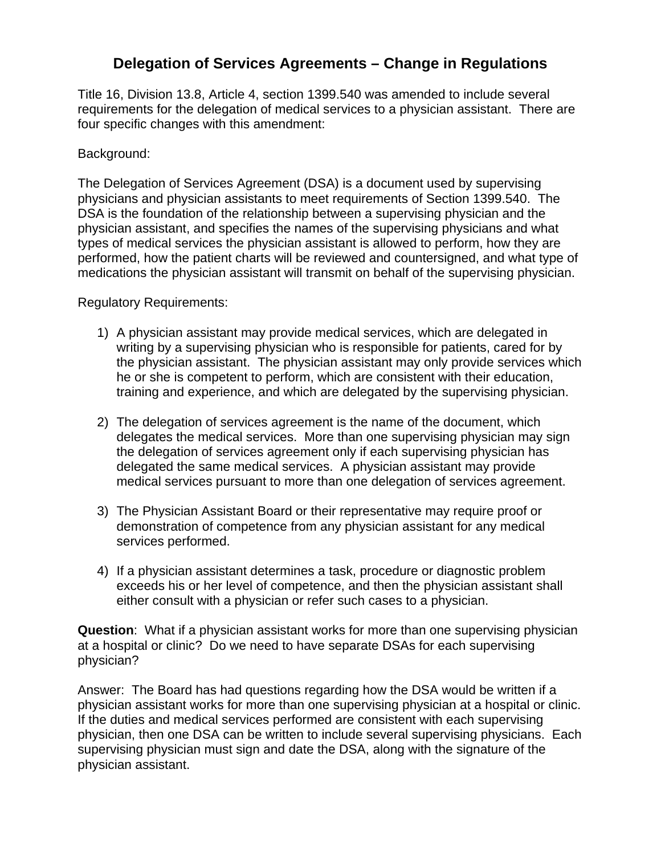# **Delegation of Services Agreements – Change in Regulations**

Title 16, Division 13.8, Article 4, section 1399.540 was amended to include several requirements for the delegation of medical services to a physician assistant. There are four specific changes with this amendment:

# Background:

The Delegation of Services Agreement (DSA) is a document used by supervising physicians and physician assistants to meet requirements of Section 1399.540. The DSA is the foundation of the relationship between a supervising physician and the physician assistant, and specifies the names of the supervising physicians and what types of medical services the physician assistant is allowed to perform, how they are performed, how the patient charts will be reviewed and countersigned, and what type of medications the physician assistant will transmit on behalf of the supervising physician.

Regulatory Requirements:

- 1) A physician assistant may provide medical services, which are delegated in writing by a supervising physician who is responsible for patients, cared for by the physician assistant. The physician assistant may only provide services which he or she is competent to perform, which are consistent with their education, training and experience, and which are delegated by the supervising physician.
- 2) The delegation of services agreement is the name of the document, which delegates the medical services. More than one supervising physician may sign the delegation of services agreement only if each supervising physician has delegated the same medical services. A physician assistant may provide medical services pursuant to more than one delegation of services agreement.
- 3) The Physician Assistant Board or their representative may require proof or demonstration of competence from any physician assistant for any medical services performed.
- 4) If a physician assistant determines a task, procedure or diagnostic problem exceeds his or her level of competence, and then the physician assistant shall either consult with a physician or refer such cases to a physician.

**Question**: What if a physician assistant works for more than one supervising physician at a hospital or clinic? Do we need to have separate DSAs for each supervising physician?

Answer: The Board has had questions regarding how the DSA would be written if a physician assistant works for more than one supervising physician at a hospital or clinic. If the duties and medical services performed are consistent with each supervising physician, then one DSA can be written to include several supervising physicians. Each supervising physician must sign and date the DSA, along with the signature of the physician assistant.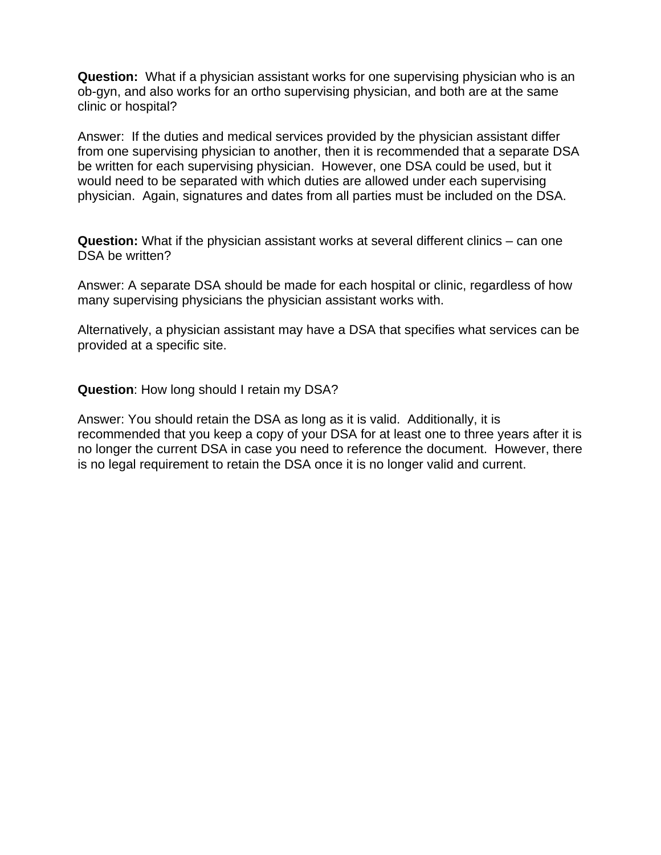**Question:** What if a physician assistant works for one supervising physician who is an ob-gyn, and also works for an ortho supervising physician, and both are at the same clinic or hospital?

Answer: If the duties and medical services provided by the physician assistant differ from one supervising physician to another, then it is recommended that a separate DSA be written for each supervising physician. However, one DSA could be used, but it would need to be separated with which duties are allowed under each supervising physician. Again, signatures and dates from all parties must be included on the DSA.

**Question:** What if the physician assistant works at several different clinics – can one DSA be written?

Answer: A separate DSA should be made for each hospital or clinic, regardless of how many supervising physicians the physician assistant works with.

Alternatively, a physician assistant may have a DSA that specifies what services can be provided at a specific site.

**Question**: How long should I retain my DSA?

Answer: You should retain the DSA as long as it is valid. Additionally, it is recommended that you keep a copy of your DSA for at least one to three years after it is no longer the current DSA in case you need to reference the document. However, there is no legal requirement to retain the DSA once it is no longer valid and current.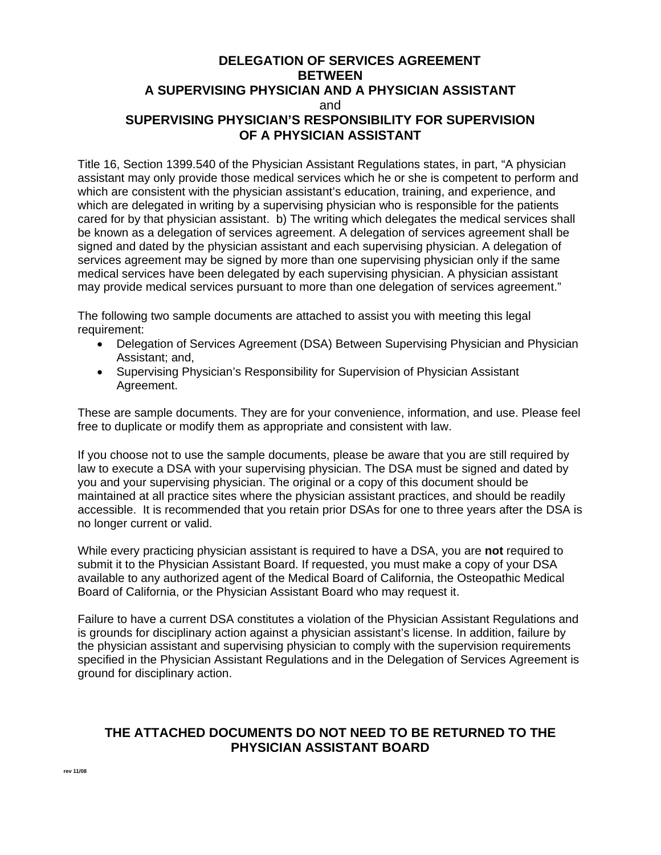# **DELEGATION OF SERVICES AGREEMENT BETWEEN A SUPERVISING PHYSICIAN AND A PHYSICIAN ASSISTANT**  and **SUPERVISING PHYSICIAN'S RESPONSIBILITY FOR SUPERVISION OF A PHYSICIAN ASSISTANT**

Title 16, Section 1399.540 of the Physician Assistant Regulations states, in part, "A physician assistant may only provide those medical services which he or she is competent to perform and which are consistent with the physician assistant's education, training, and experience, and which are delegated in writing by a supervising physician who is responsible for the patients cared for by that physician assistant. b) The writing which delegates the medical services shall be known as a delegation of services agreement. A delegation of services agreement shall be signed and dated by the physician assistant and each supervising physician. A delegation of services agreement may be signed by more than one supervising physician only if the same medical services have been delegated by each supervising physician. A physician assistant may provide medical services pursuant to more than one delegation of services agreement."

The following two sample documents are attached to assist you with meeting this legal requirement:

- Delegation of Services Agreement (DSA) Between Supervising Physician and Physician Assistant; and,
- Supervising Physician's Responsibility for Supervision of Physician Assistant Agreement.

These are sample documents. They are for your convenience, information, and use. Please feel free to duplicate or modify them as appropriate and consistent with law.

If you choose not to use the sample documents, please be aware that you are still required by law to execute a DSA with your supervising physician. The DSA must be signed and dated by you and your supervising physician. The original or a copy of this document should be maintained at all practice sites where the physician assistant practices, and should be readily accessible. It is recommended that you retain prior DSAs for one to three years after the DSA is no longer current or valid.

While every practicing physician assistant is required to have a DSA, you are **not** required to submit it to the Physician Assistant Board. If requested, you must make a copy of your DSA available to any authorized agent of the Medical Board of California, the Osteopathic Medical Board of California, or the Physician Assistant Board who may request it.

Failure to have a current DSA constitutes a violation of the Physician Assistant Regulations and is grounds for disciplinary action against a physician assistant's license. In addition, failure by the physician assistant and supervising physician to comply with the supervision requirements specified in the Physician Assistant Regulations and in the Delegation of Services Agreement is ground for disciplinary action.

# **THE ATTACHED DOCUMENTS DO NOT NEED TO BE RETURNED TO THE PHYSICIAN ASSISTANT BOARD**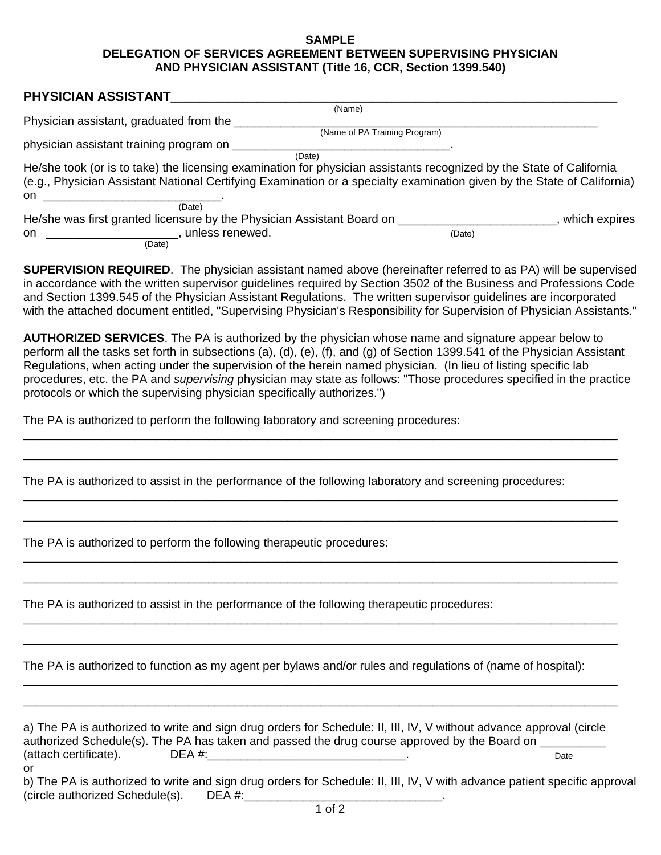#### **SAMPLE DELEGATION OF SERVICES AGREEMENT BETWEEN SUPERVISING PHYSICIAN AND PHYSICIAN ASSISTANT (Title 16, CCR, Section 1399.540)**

## **PHYSICIAN ASSISTANT\_\_\_\_\_\_\_\_\_\_\_\_\_\_\_\_\_\_\_\_\_\_\_\_\_\_\_\_\_\_\_\_\_\_\_\_\_\_\_\_\_\_\_\_\_\_\_\_\_\_\_\_\_\_\_\_\_\_\_\_\_\_**

|                                                                        | (Name)                                                                                                                  |               |
|------------------------------------------------------------------------|-------------------------------------------------------------------------------------------------------------------------|---------------|
| Physician assistant, graduated from the                                |                                                                                                                         |               |
|                                                                        | (Name of PA Training Program)                                                                                           |               |
| physician assistant training program on                                |                                                                                                                         |               |
|                                                                        | (Date)                                                                                                                  |               |
|                                                                        | He/she took (or is to take) the licensing examination for physician assistants recognized by the State of California    |               |
|                                                                        | (e.g., Physician Assistant National Certifying Examination or a specialty examination given by the State of California) |               |
| on                                                                     |                                                                                                                         |               |
| (Date)                                                                 |                                                                                                                         |               |
| He/she was first granted licensure by the Physician Assistant Board on |                                                                                                                         | which expires |
| unless renewed.<br>on                                                  | (Date)                                                                                                                  |               |
| (Date)                                                                 |                                                                                                                         |               |

**SUPERVISION REQUIRED**. The physician assistant named above (hereinafter referred to as PA) will be supervised in accordance with the written supervisor guidelines required by Section 3502 of the Business and Professions Code and Section 1399.545 of the Physician Assistant Regulations. The written supervisor guidelines are incorporated with the attached document entitled, "Supervising Physician's Responsibility for Supervision of Physician Assistants."

**AUTHORIZED SERVICES**. The PA is authorized by the physician whose name and signature appear below to perform all the tasks set forth in subsections (a), (d), (e), (f), and (g) of Section 1399.541 of the Physician Assistant Regulations, when acting under the supervision of the herein named physician. (In lieu of listing specific lab procedures, etc. the PA and *supervising* physician may state as follows: "Those procedures specified in the practice protocols or which the supervising physician specifically authorizes.")

\_\_\_\_\_\_\_\_\_\_\_\_\_\_\_\_\_\_\_\_\_\_\_\_\_\_\_\_\_\_\_\_\_\_\_\_\_\_\_\_\_\_\_\_\_\_\_\_\_\_\_\_\_\_\_\_\_\_\_\_\_\_\_\_\_\_\_\_\_\_\_\_\_\_\_\_\_\_\_\_\_\_\_\_\_\_\_\_\_\_ \_\_\_\_\_\_\_\_\_\_\_\_\_\_\_\_\_\_\_\_\_\_\_\_\_\_\_\_\_\_\_\_\_\_\_\_\_\_\_\_\_\_\_\_\_\_\_\_\_\_\_\_\_\_\_\_\_\_\_\_\_\_\_\_\_\_\_\_\_\_\_\_\_\_\_\_\_\_\_\_\_\_\_\_\_\_\_\_\_\_

\_\_\_\_\_\_\_\_\_\_\_\_\_\_\_\_\_\_\_\_\_\_\_\_\_\_\_\_\_\_\_\_\_\_\_\_\_\_\_\_\_\_\_\_\_\_\_\_\_\_\_\_\_\_\_\_\_\_\_\_\_\_\_\_\_\_\_\_\_\_\_\_\_\_\_\_\_\_\_\_\_\_\_\_\_\_\_\_\_\_ \_\_\_\_\_\_\_\_\_\_\_\_\_\_\_\_\_\_\_\_\_\_\_\_\_\_\_\_\_\_\_\_\_\_\_\_\_\_\_\_\_\_\_\_\_\_\_\_\_\_\_\_\_\_\_\_\_\_\_\_\_\_\_\_\_\_\_\_\_\_\_\_\_\_\_\_\_\_\_\_\_\_\_\_\_\_\_\_\_\_

\_\_\_\_\_\_\_\_\_\_\_\_\_\_\_\_\_\_\_\_\_\_\_\_\_\_\_\_\_\_\_\_\_\_\_\_\_\_\_\_\_\_\_\_\_\_\_\_\_\_\_\_\_\_\_\_\_\_\_\_\_\_\_\_\_\_\_\_\_\_\_\_\_\_\_\_\_\_\_\_\_\_\_\_\_\_\_\_\_\_ \_\_\_\_\_\_\_\_\_\_\_\_\_\_\_\_\_\_\_\_\_\_\_\_\_\_\_\_\_\_\_\_\_\_\_\_\_\_\_\_\_\_\_\_\_\_\_\_\_\_\_\_\_\_\_\_\_\_\_\_\_\_\_\_\_\_\_\_\_\_\_\_\_\_\_\_\_\_\_\_\_\_\_\_\_\_\_\_\_\_

\_\_\_\_\_\_\_\_\_\_\_\_\_\_\_\_\_\_\_\_\_\_\_\_\_\_\_\_\_\_\_\_\_\_\_\_\_\_\_\_\_\_\_\_\_\_\_\_\_\_\_\_\_\_\_\_\_\_\_\_\_\_\_\_\_\_\_\_\_\_\_\_\_\_\_\_\_\_\_\_\_\_\_\_\_\_\_\_\_\_ \_\_\_\_\_\_\_\_\_\_\_\_\_\_\_\_\_\_\_\_\_\_\_\_\_\_\_\_\_\_\_\_\_\_\_\_\_\_\_\_\_\_\_\_\_\_\_\_\_\_\_\_\_\_\_\_\_\_\_\_\_\_\_\_\_\_\_\_\_\_\_\_\_\_\_\_\_\_\_\_\_\_\_\_\_\_\_\_\_\_

\_\_\_\_\_\_\_\_\_\_\_\_\_\_\_\_\_\_\_\_\_\_\_\_\_\_\_\_\_\_\_\_\_\_\_\_\_\_\_\_\_\_\_\_\_\_\_\_\_\_\_\_\_\_\_\_\_\_\_\_\_\_\_\_\_\_\_\_\_\_\_\_\_\_\_\_\_\_\_\_\_\_\_\_\_\_\_\_\_\_ \_\_\_\_\_\_\_\_\_\_\_\_\_\_\_\_\_\_\_\_\_\_\_\_\_\_\_\_\_\_\_\_\_\_\_\_\_\_\_\_\_\_\_\_\_\_\_\_\_\_\_\_\_\_\_\_\_\_\_\_\_\_\_\_\_\_\_\_\_\_\_\_\_\_\_\_\_\_\_\_\_\_\_\_\_\_\_\_\_\_

The PA is authorized to perform the following laboratory and screening procedures:

The PA is authorized to assist in the performance of the following laboratory and screening procedures:

The PA is authorized to perform the following therapeutic procedures:

The PA is authorized to assist in the performance of the following therapeutic procedures:

The PA is authorized to function as my agent per bylaws and/or rules and regulations of (name of hospital):

|                                                                                              |        | a) The PA is authorized to write and sign drug orders for Schedule: II, III, IV, V without advance approval (circle |      |  |
|----------------------------------------------------------------------------------------------|--------|---------------------------------------------------------------------------------------------------------------------|------|--|
| authorized Schedule(s). The PA has taken and passed the drug course approved by the Board on |        |                                                                                                                     |      |  |
| (attach certificate).                                                                        | DEA #: |                                                                                                                     | Date |  |
| Ωr                                                                                           |        |                                                                                                                     |      |  |

 $(circle \t{authorizontal} 5 chedule(s). \t{DEA} #: \t{100} \t{100} \t{101} \t{100} \t{101} \t{100} \t{101} \t{100} \t{101} \t{101} \t{101} \t{101} \t{101} \t{101} \t{101} \t{101} \t{101} \t{101} \t{101} \t{101} \t{101} \t{101} \t{101} \t{101} \t{101} \t{101} \t{101} \t{101} \$ b) The PA is authorized to write and sign drug orders for Schedule: II, III, IV, V with advance patient specific approval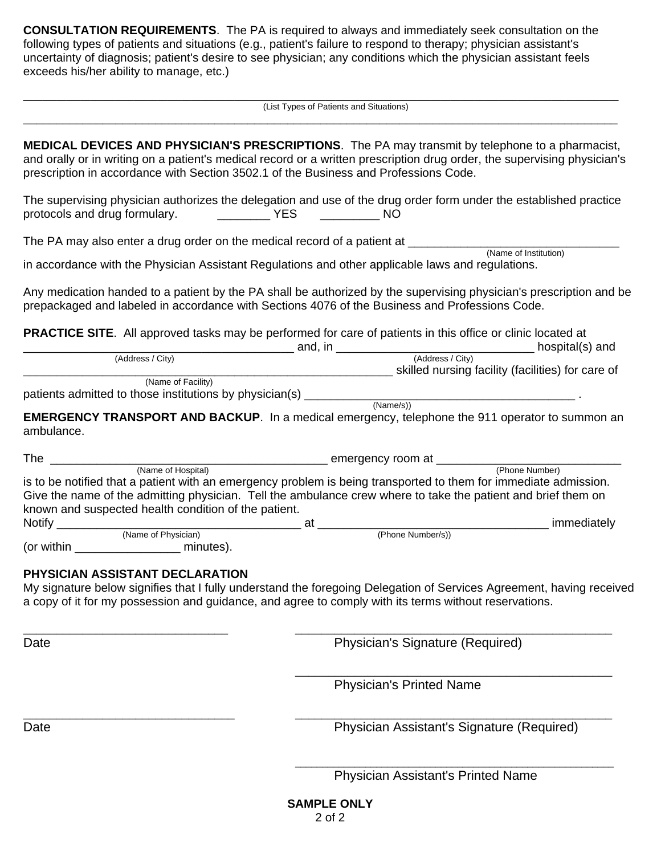**CONSULTATION REQUIREMENTS**. The PA is required to always and immediately seek consultation on the following types of patients and situations (e.g., patient's failure to respond to therapy; physician assistant's uncertainty of diagnosis; patient's desire to see physician; any conditions which the physician assistant feels exceeds his/her ability to manage, etc.)

\_\_\_\_\_\_\_\_\_\_\_\_\_\_\_\_\_\_\_\_\_\_\_\_\_\_\_\_\_\_\_\_\_\_\_\_\_\_\_\_\_\_\_\_\_\_\_\_\_\_\_\_\_\_\_\_\_\_\_\_\_\_\_\_\_\_\_\_\_\_\_\_\_\_\_\_\_\_\_\_\_\_\_\_\_\_\_\_\_\_\_\_\_\_\_\_\_\_\_\_\_\_\_\_\_\_\_\_\_\_\_\_\_\_\_\_\_\_\_\_\_\_\_\_ (List Types of Patients and Situations)

**MEDICAL DEVICES AND PHYSICIAN'S PRESCRIPTIONS**. The PA may transmit by telephone to a pharmacist, and orally or in writing on a patient's medical record or a written prescription drug order, the supervising physician's prescription in accordance with Section 3502.1 of the Business and Professions Code.

\_\_\_\_\_\_\_\_\_\_\_\_\_\_\_\_\_\_\_\_\_\_\_\_\_\_\_\_\_\_\_\_\_\_\_\_\_\_\_\_\_\_\_\_\_\_\_\_\_\_\_\_\_\_\_\_\_\_\_\_\_\_\_\_\_\_\_\_\_\_\_\_\_\_\_\_\_\_\_\_\_\_\_\_\_\_\_\_\_\_

protocols and drug formulary. \_\_\_\_\_\_\_\_\_\_\_\_ YES \_\_\_\_\_\_\_\_\_\_\_\_ NO The supervising physician authorizes the delegation and use of the drug order form under the established practice

The PA may also enter a drug order on the medical record of a patient at (Name of Institution)

in accordance with the Physician Assistant Regulations and other applicable laws and regulations.

Any medication handed to a patient by the PA shall be authorized by the supervising physician's prescription and be prepackaged and labeled in accordance with Sections 4076 of the Business and Professions Code.

**PRACTICE SITE.** All approved tasks may be performed for care of patients in this office or clinic located at

|                    | and, in | hospital(s) and                                   |
|--------------------|---------|---------------------------------------------------|
| (Address / City)   |         | (Address / City)                                  |
|                    |         | skilled nursing facility (facilities) for care of |
| (Name of Facility) |         |                                                   |

patients admitted to those institutions by physician(s) \_\_\_\_\_\_\_\_\_\_\_\_\_\_\_\_\_\_\_\_\_\_\_\_

**EMERGENCY TRANSPORT AND BACKUP**. In a medical emergency, telephone the 911 operator to summon an ambulance.

(Name/s))

| The                                                                                                              | emergency room at |  |  |  |
|------------------------------------------------------------------------------------------------------------------|-------------------|--|--|--|
| (Name of Hospital)                                                                                               | (Phone Number)    |  |  |  |
| is to be notified that a patient with an emergency problem is being transported to them for immediate admission. |                   |  |  |  |
| Give the name of the admitting physician. Tell the ambulance crew where to take the patient and brief them on    |                   |  |  |  |
| known and suspected health condition of the patient.                                                             |                   |  |  |  |
| Notify                                                                                                           | immediately<br>аt |  |  |  |
| (Name of Physician)                                                                                              | (Phone Number/s)) |  |  |  |
| (or within<br>minutes).                                                                                          |                   |  |  |  |

### **PHYSICIAN ASSISTANT DECLARATION**

My signature below signifies that I fully understand the foregoing Delegation of Services Agreement, having received a copy of it for my possession and guidance, and agree to comply with its terms without reservations.

\_\_\_\_\_\_\_\_\_\_\_\_\_\_\_\_\_\_\_\_\_\_\_\_\_\_\_\_\_\_\_ \_\_\_\_\_\_\_\_\_\_\_\_\_\_\_\_\_\_\_\_\_\_\_\_\_\_\_\_\_\_\_\_\_\_\_\_\_\_\_\_\_\_\_\_\_\_\_\_

\_\_\_\_\_\_\_\_\_\_\_\_\_\_\_\_\_\_\_\_\_\_\_\_\_\_\_\_\_\_\_\_ \_\_\_\_\_\_\_\_\_\_\_\_\_\_\_\_\_\_\_\_\_\_\_\_\_\_\_\_\_\_\_\_\_\_\_\_\_\_\_\_\_\_\_\_\_\_\_\_

Date **Date** Physician's Signature (Required)

 $\overline{\phantom{a}}$  ,  $\overline{\phantom{a}}$  ,  $\overline{\phantom{a}}$  ,  $\overline{\phantom{a}}$  ,  $\overline{\phantom{a}}$  ,  $\overline{\phantom{a}}$  ,  $\overline{\phantom{a}}$  ,  $\overline{\phantom{a}}$  ,  $\overline{\phantom{a}}$  ,  $\overline{\phantom{a}}$  ,  $\overline{\phantom{a}}$  ,  $\overline{\phantom{a}}$  ,  $\overline{\phantom{a}}$  ,  $\overline{\phantom{a}}$  ,  $\overline{\phantom{a}}$  ,  $\overline{\phantom{a}}$ 

Physician's Printed Name

 $\mathcal{L}_\text{max}$  , and the contract of the contract of the contract of the contract of the contract of the contract of the contract of the contract of the contract of the contract of the contract of the contract of the contr

Date **Date Physician Assistant's Signature (Required)** 

Physician Assistant's Printed Name